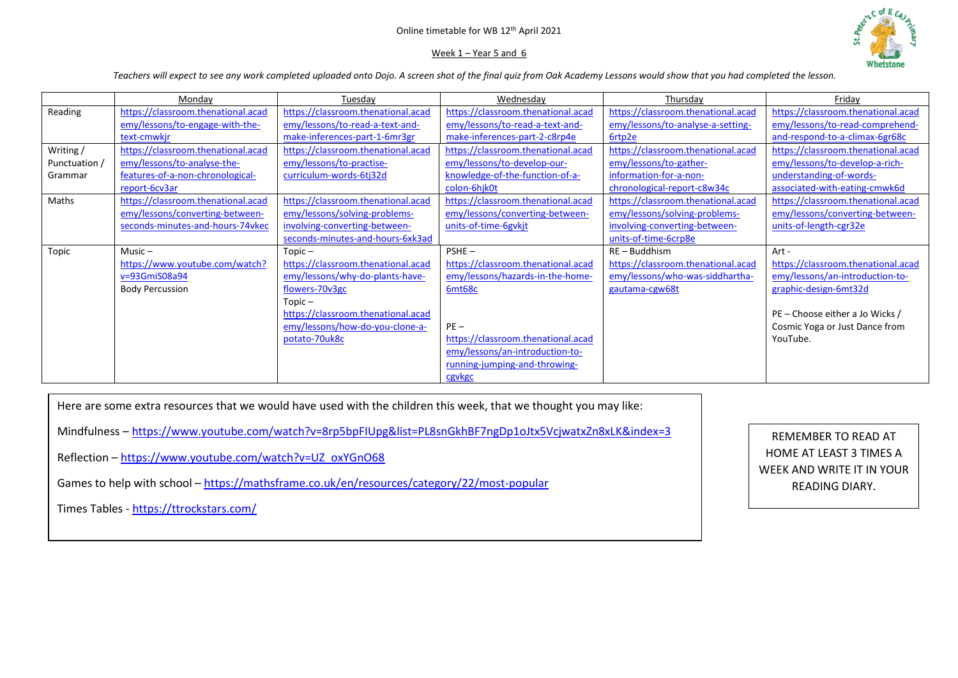# Online timetable for WB 12th April 2021

# Week  $1 -$  Year 5 and 6



*Teachers will expect to see any work completed uploaded onto Dojo. A screen shot of the final quiz from Oak Academy Lessons would show that you had completed the lesson.* 

|               | Monday                             | Tuesday                            | Wednesday                          | Thursday                           | Friday                             |
|---------------|------------------------------------|------------------------------------|------------------------------------|------------------------------------|------------------------------------|
| Reading       | https://classroom.thenational.acad | https://classroom.thenational.acad | https://classroom.thenational.acad | https://classroom.thenational.acad | https://classroom.thenational.acad |
|               | emy/lessons/to-engage-with-the-    | emy/lessons/to-read-a-text-and-    | emy/lessons/to-read-a-text-and-    | emy/lessons/to-analyse-a-setting-  | emy/lessons/to-read-comprehend-    |
|               | text-cmwkjr                        | make-inferences-part-1-6mr3gr      | make-inferences-part-2-c8rp4e      | 6rtp2e                             | and-respond-to-a-climax-6gr68c     |
| Writing /     | https://classroom.thenational.acad | https://classroom.thenational.acad | https://classroom.thenational.acad | https://classroom.thenational.acad | https://classroom.thenational.acad |
| Punctuation / | emy/lessons/to-analyse-the-        | emy/lessons/to-practise-           | emy/lessons/to-develop-our-        | emy/lessons/to-gather-             | emy/lessons/to-develop-a-rich-     |
| Grammar       | features-of-a-non-chronological-   | curriculum-words-6tj32d            | knowledge-of-the-function-of-a-    | information-for-a-non-             | understanding-of-words-            |
|               | report-6cv3ar                      |                                    | colon-6hik0t                       | chronological-report-c8w34c        | associated-with-eating-cmwk6d      |
| Maths         | https://classroom.thenational.acad | https://classroom.thenational.acad | https://classroom.thenational.acad | https://classroom.thenational.acad | https://classroom.thenational.acad |
|               | emy/lessons/converting-between-    | emy/lessons/solving-problems-      | emy/lessons/converting-between-    | emy/lessons/solving-problems-      | emy/lessons/converting-between-    |
|               | seconds-minutes-and-hours-74vkec   | involving-converting-between-      | units-of-time-6gvkjt               | involving-converting-between-      | units-of-length-cgr32e             |
|               |                                    | seconds-minutes-and-hours-6xk3ad   |                                    | units-of-time-6crp8e               |                                    |
| Topic         | $Music -$                          | $Topic -$                          | $PSHE -$                           | $RE - Buddhism$                    | Art -                              |
|               | https://www.youtube.com/watch?     | https://classroom.thenational.acad | https://classroom.thenational.acad | https://classroom.thenational.acad | https://classroom.thenational.acad |
|               | v=93GmiS08a94                      | emy/lessons/why-do-plants-have-    | emy/lessons/hazards-in-the-home-   | emy/lessons/who-was-siddhartha-    | emy/lessons/an-introduction-to-    |
|               | <b>Body Percussion</b>             | flowers-70v3gc                     | 6mt68c                             | gautama-cgw68t                     | graphic-design-6mt32d              |
|               |                                    | $Topic -$                          |                                    |                                    |                                    |
|               |                                    | https://classroom.thenational.acad |                                    |                                    | PE – Choose either a Jo Wicks /    |
|               |                                    | emy/lessons/how-do-you-clone-a-    | $PE -$                             |                                    | Cosmic Yoga or Just Dance from     |
|               |                                    | potato-70uk8c                      | https://classroom.thenational.acad |                                    | YouTube.                           |
|               |                                    |                                    | emy/lessons/an-introduction-to-    |                                    |                                    |
|               |                                    |                                    | running-jumping-and-throwing-      |                                    |                                    |
|               |                                    |                                    | cgvkgc                             |                                    |                                    |

Here are some extra resources that we would have used with the children this week, that we thought you may like:

Mindfulness – <https://www.youtube.com/watch?v=8rp5bpFIUpg&list=PL8snGkhBF7ngDp1oJtx5VcjwatxZn8xLK&index=3>

Reflection – [https://www.youtube.com/watch?v=UZ\\_oxYGnO68](https://www.youtube.com/watch?v=UZ_oxYGnO68)

Games to help with school – <https://mathsframe.co.uk/en/resources/category/22/most-popular>

Times Tables - <https://ttrockstars.com/>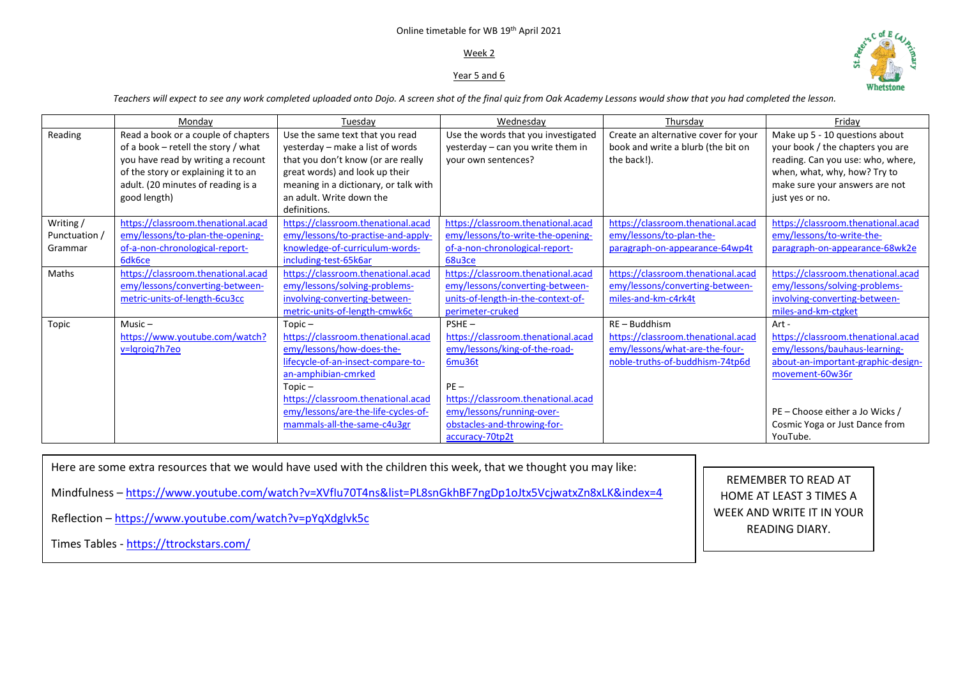### Online timetable for WB 19th April 2021

# Week 2

# Year 5 and 6



*Teachers will expect to see any work completed uploaded onto Dojo. A screen shot of the final quiz from Oak Academy Lessons would show that you had completed the lesson.* 

|               | Mondav                              | Tuesdav                               | Wednesdav                           | Thursdav                             | Fridav                             |
|---------------|-------------------------------------|---------------------------------------|-------------------------------------|--------------------------------------|------------------------------------|
| Reading       | Read a book or a couple of chapters | Use the same text that you read       | Use the words that you investigated | Create an alternative cover for your | Make up 5 - 10 questions about     |
|               | of a book - retell the story / what | yesterday - make a list of words      | yesterday - can you write them in   | book and write a blurb (the bit on   | your book / the chapters you are   |
|               | you have read by writing a recount  | that you don't know (or are really    | your own sentences?                 | the back!).                          | reading. Can you use: who, where,  |
|               | of the story or explaining it to an | great words) and look up their        |                                     |                                      | when, what, why, how? Try to       |
|               | adult. (20 minutes of reading is a  | meaning in a dictionary, or talk with |                                     |                                      | make sure your answers are not     |
|               | good length)                        | an adult. Write down the              |                                     |                                      | just yes or no.                    |
|               |                                     | definitions.                          |                                     |                                      |                                    |
| Writing /     | https://classroom.thenational.acad  | https://classroom.thenational.acad    | https://classroom.thenational.acad  | https://classroom.thenational.acad   | https://classroom.thenational.acad |
| Punctuation / | emy/lessons/to-plan-the-opening-    | emy/lessons/to-practise-and-apply-    | emy/lessons/to-write-the-opening-   | emy/lessons/to-plan-the-             | emy/lessons/to-write-the-          |
| Grammar       | of-a-non-chronological-report-      | knowledge-of-curriculum-words-        | of-a-non-chronological-report-      | paragraph-on-appearance-64wp4t       | paragraph-on-appearance-68wk2e     |
|               | 6dk6ce                              | including-test-65k6ar                 | 68u3ce                              |                                      |                                    |
| Maths         | https://classroom.thenational.acad  | https://classroom.thenational.acad    | https://classroom.thenational.acad  | https://classroom.thenational.acad   | https://classroom.thenational.acad |
|               | emy/lessons/converting-between-     | emy/lessons/solving-problems-         | emy/lessons/converting-between-     | emy/lessons/converting-between-      | emy/lessons/solving-problems-      |
|               | metric-units-of-length-6cu3cc       | involving-converting-between-         | units-of-length-in-the-context-of-  | miles-and-km-c4rk4t                  | involving-converting-between-      |
|               |                                     | metric-units-of-length-cmwk6c         | perimeter-cruked                    |                                      | miles-and-km-ctgket                |
| Topic         | Music $-$                           | $Topic -$                             | $PSHE -$                            | $RE - Buddhism$                      | Art -                              |
|               | https://www.youtube.com/watch?      | https://classroom.thenational.acad    | https://classroom.thenational.acad  | https://classroom.thenational.acad   | https://classroom.thenational.acad |
|               | v=lgroig7h7eo                       | emy/lessons/how-does-the-             | emy/lessons/king-of-the-road-       | emy/lessons/what-are-the-four-       | emy/lessons/bauhaus-learning-      |
|               |                                     | lifecycle-of-an-insect-compare-to-    | 6mu36t                              | noble-truths-of-buddhism-74tp6d      | about-an-important-graphic-design- |
|               |                                     | an-amphibian-cmrked                   |                                     |                                      | movement-60w36r                    |
|               |                                     | $Topic -$                             | $PE -$                              |                                      |                                    |
|               |                                     | https://classroom.thenational.acad    | https://classroom.thenational.acad  |                                      |                                    |
|               |                                     | emy/lessons/are-the-life-cycles-of-   | emy/lessons/running-over-           |                                      | PE – Choose either a Jo Wicks /    |
|               |                                     | mammals-all-the-same-c4u3gr           | obstacles-and-throwing-for-         |                                      | Cosmic Yoga or Just Dance from     |
|               |                                     |                                       | accuracy-70tp2t                     |                                      | YouTube.                           |

Here are some extra resources that we would have used with the children this week, that we thought you may like:

Mindfulness – <https://www.youtube.com/watch?v=XVfIu70T4ns&list=PL8snGkhBF7ngDp1oJtx5VcjwatxZn8xLK&index=4>

Reflection – <https://www.youtube.com/watch?v=pYqXdglvk5c>

Times Tables - <https://ttrockstars.com/>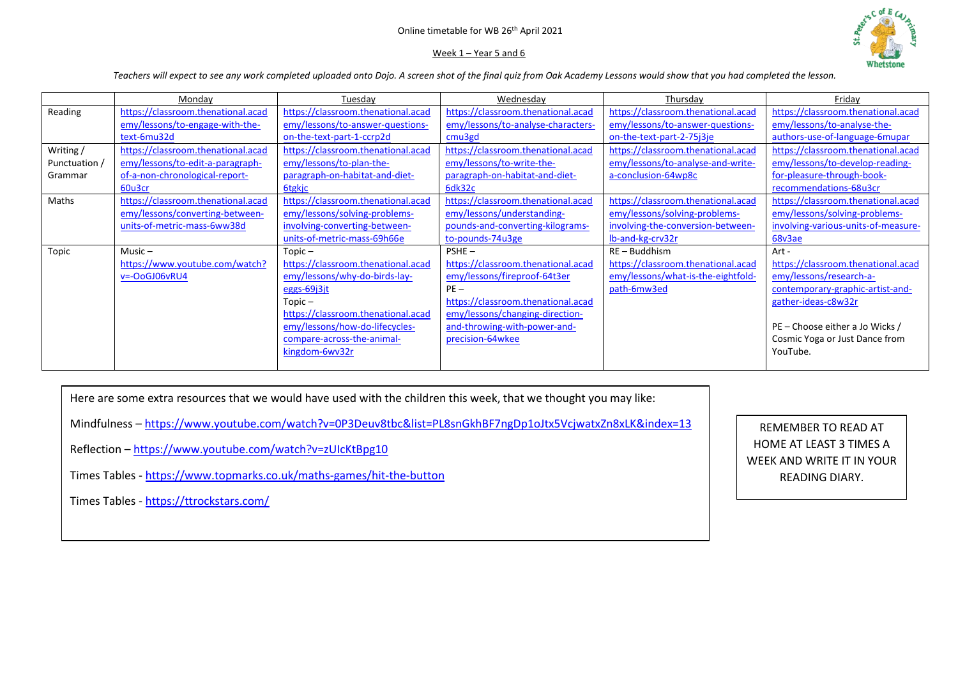# Online timetable for WB 26th April 2021

### Week 1 – Year 5 and 6



*Teachers will expect to see any work completed uploaded onto Dojo. A screen shot of the final quiz from Oak Academy Lessons would show that you had completed the lesson.* 

|               | Monday                             | Tuesday                            | Wednesday                          | Thursday                           | Friday                              |
|---------------|------------------------------------|------------------------------------|------------------------------------|------------------------------------|-------------------------------------|
| Reading       | https://classroom.thenational.acad | https://classroom.thenational.acad | https://classroom.thenational.acad | https://classroom.thenational.acad | https://classroom.thenational.acad  |
|               | emy/lessons/to-engage-with-the-    | emy/lessons/to-answer-questions-   | emy/lessons/to-analyse-characters- | emy/lessons/to-answer-questions-   | emy/lessons/to-analyse-the-         |
|               | text-6mu32d                        | on-the-text-part-1-ccrp2d          | cmu3gd                             | on-the-text-part-2-75j3je          | authors-use-of-language-6mupar      |
| Writing /     | https://classroom.thenational.acad | https://classroom.thenational.acad | https://classroom.thenational.acad | https://classroom.thenational.acad | https://classroom.thenational.acad  |
| Punctuation / | emy/lessons/to-edit-a-paragraph-   | emy/lessons/to-plan-the-           | emy/lessons/to-write-the-          | emy/lessons/to-analyse-and-write-  | emy/lessons/to-develop-reading-     |
| Grammar       | of-a-non-chronological-report-     | paragraph-on-habitat-and-diet-     | paragraph-on-habitat-and-diet-     | a-conclusion-64wp8c                | for-pleasure-through-book-          |
|               | 60u3cr                             | <b>6tgkjc</b>                      | 6dk32c                             |                                    | recommendations-68u3cr              |
| Maths         | https://classroom.thenational.acad | https://classroom.thenational.acad | https://classroom.thenational.acad | https://classroom.thenational.acad | https://classroom.thenational.acad  |
|               | emy/lessons/converting-between-    | emy/lessons/solving-problems-      | emy/lessons/understanding-         | emy/lessons/solving-problems-      | emy/lessons/solving-problems-       |
|               | units-of-metric-mass-6ww38d        | involving-converting-between-      | pounds-and-converting-kilograms-   | involving-the-conversion-between-  | involving-various-units-of-measure- |
|               |                                    | units-of-metric-mass-69h66e        | to-pounds-74u3ge                   | Ib-and-kg-crv32r                   | 68v3ae                              |
| Topic         | $Music -$                          | $Topic -$                          | $PSHE -$                           | $RE - Buddhism$                    | Art -                               |
|               | https://www.youtube.com/watch?     | https://classroom.thenational.acad | https://classroom.thenational.acad | https://classroom.thenational.acad | https://classroom.thenational.acad  |
|               | v=-OoGJ06vRU4                      | emy/lessons/why-do-birds-lay-      | emy/lessons/fireproof-64t3er       | emy/lessons/what-is-the-eightfold- | emy/lessons/research-a-             |
|               |                                    | eggs-69j3jt                        | $PE -$                             | path-6mw3ed                        | contemporary-graphic-artist-and-    |
|               |                                    | $Topic -$                          | https://classroom.thenational.acad |                                    | gather-ideas-c8w32r                 |
|               |                                    | https://classroom.thenational.acad | emy/lessons/changing-direction-    |                                    |                                     |
|               |                                    | emy/lessons/how-do-lifecycles-     | and-throwing-with-power-and-       |                                    | PE – Choose either a Jo Wicks /     |
|               |                                    | compare-across-the-animal-         | precision-64wkee                   |                                    | Cosmic Yoga or Just Dance from      |
|               |                                    | kingdom-6wv32r                     |                                    |                                    | YouTube.                            |
|               |                                    |                                    |                                    |                                    |                                     |

Here are some extra resources that we would have used with the children this week, that we thought you may like:

Mindfulness – <https://www.youtube.com/watch?v=0P3Deuv8tbc&list=PL8snGkhBF7ngDp1oJtx5VcjwatxZn8xLK&index=13>

Reflection – <https://www.youtube.com/watch?v=zUIcKtBpg10>

Times Tables - <https://www.topmarks.co.uk/maths-games/hit-the-button>

Times Tables - <https://ttrockstars.com/>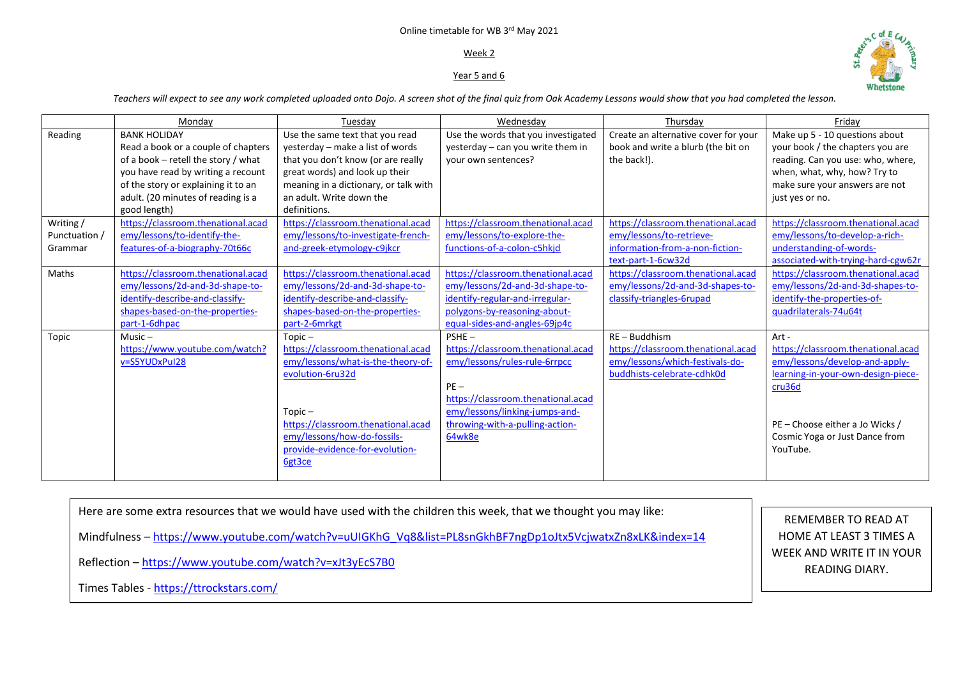#### Online timetable for WB 3<sup>rd</sup> May 2021

### Week 2

### Year 5 and 6



*Teachers will expect to see any work completed uploaded onto Dojo. A screen shot of the final quiz from Oak Academy Lessons would show that you had completed the lesson.* 

|                                      | Mondav                                                                                                                                                                                                                               | Tuesday                                                                                                                                                                                                                                  | Wednesday                                                                                                                                                                                                   | Thursday                                                                                                                | Fridav                                                                                                                                                                                                         |
|--------------------------------------|--------------------------------------------------------------------------------------------------------------------------------------------------------------------------------------------------------------------------------------|------------------------------------------------------------------------------------------------------------------------------------------------------------------------------------------------------------------------------------------|-------------------------------------------------------------------------------------------------------------------------------------------------------------------------------------------------------------|-------------------------------------------------------------------------------------------------------------------------|----------------------------------------------------------------------------------------------------------------------------------------------------------------------------------------------------------------|
| Reading                              | <b>BANK HOLIDAY</b><br>Read a book or a couple of chapters<br>of a book - retell the story / what<br>you have read by writing a recount<br>of the story or explaining it to an<br>adult. (20 minutes of reading is a<br>good length) | Use the same text that you read<br>yesterday - make a list of words<br>that you don't know (or are really<br>great words) and look up their<br>meaning in a dictionary, or talk with<br>an adult. Write down the<br>definitions.         | Use the words that you investigated<br>yesterday - can you write them in<br>your own sentences?                                                                                                             | Create an alternative cover for your<br>book and write a blurb (the bit on<br>the back!).                               | Make up 5 - 10 questions about<br>your book / the chapters you are<br>reading. Can you use: who, where,<br>when, what, why, how? Try to<br>make sure your answers are not<br>just yes or no.                   |
| Writing/<br>Punctuation /<br>Grammar | https://classroom.thenational.acad<br>emy/lessons/to-identify-the-<br>features-of-a-biography-70t66c                                                                                                                                 | https://classroom.thenational.acad<br>emy/lessons/to-investigate-french-<br>and-greek-etymology-c9jkcr                                                                                                                                   | https://classroom.thenational.acad<br>emy/lessons/to-explore-the-<br>functions-of-a-colon-c5hkid                                                                                                            | https://classroom.thenational.acad<br>emy/lessons/to-retrieve-<br>information-from-a-non-fiction-<br>text-part-1-6cw32d | https://classroom.thenational.acad<br>emy/lessons/to-develop-a-rich-<br>understanding-of-words-<br>associated-with-trying-hard-cgw62r                                                                          |
| Maths                                | https://classroom.thenational.acad<br>emy/lessons/2d-and-3d-shape-to-<br>identify-describe-and-classify-<br>shapes-based-on-the-properties-<br>part-1-6dhpac                                                                         | https://classroom.thenational.acad<br>emy/lessons/2d-and-3d-shape-to-<br>identify-describe-and-classify-<br>shapes-based-on-the-properties-<br>part-2-6mrkgt                                                                             | https://classroom.thenational.acad<br>emy/lessons/2d-and-3d-shape-to-<br>identify-regular-and-irregular-<br>polygons-by-reasoning-about-<br>equal-sides-and-angles-69jp4c                                   | https://classroom.thenational.acad<br>emy/lessons/2d-and-3d-shapes-to-<br>classify-triangles-6rupad                     | https://classroom.thenational.acad<br>emy/lessons/2d-and-3d-shapes-to-<br>identify-the-properties-of-<br>guadrilaterals-74u64t                                                                                 |
| Topic                                | $Music -$<br>https://www.youtube.com/watch?<br>v=S5YUDxPul28                                                                                                                                                                         | $Topic -$<br>https://classroom.thenational.acad<br>emy/lessons/what-is-the-theory-of-<br>evolution-6ru32d<br>$Topic -$<br>https://classroom.thenational.acad<br>emy/lessons/how-do-fossils-<br>provide-evidence-for-evolution-<br>6gt3ce | PSHE-<br>https://classroom.thenational.acad<br>emy/lessons/rules-rule-6rrpcc<br>$PE -$<br>https://classroom.thenational.acad<br>emy/lessons/linking-jumps-and-<br>throwing-with-a-pulling-action-<br>64wk8e | $RE - Buddhism$<br>https://classroom.thenational.acad<br>emy/lessons/which-festivals-do-<br>buddhists-celebrate-cdhk0d  | Art -<br>https://classroom.thenational.acad<br>emy/lessons/develop-and-apply-<br>learning-in-your-own-design-piece-<br>cru36d<br>PE - Choose either a Jo Wicks /<br>Cosmic Yoga or Just Dance from<br>YouTube. |

Here are some extra resources that we would have used with the children this week, that we thought you may like: Mindfulness – [https://www.youtube.com/watch?v=uUIGKhG\\_Vq8&list=PL8snGkhBF7ngDp1oJtx5VcjwatxZn8xLK&index=14](https://www.youtube.com/watch?v=uUIGKhG_Vq8&list=PL8snGkhBF7ngDp1oJtx5VcjwatxZn8xLK&index=14) Reflection – <https://www.youtube.com/watch?v=xJt3yEcS7B0> Times Tables - <https://ttrockstars.com/>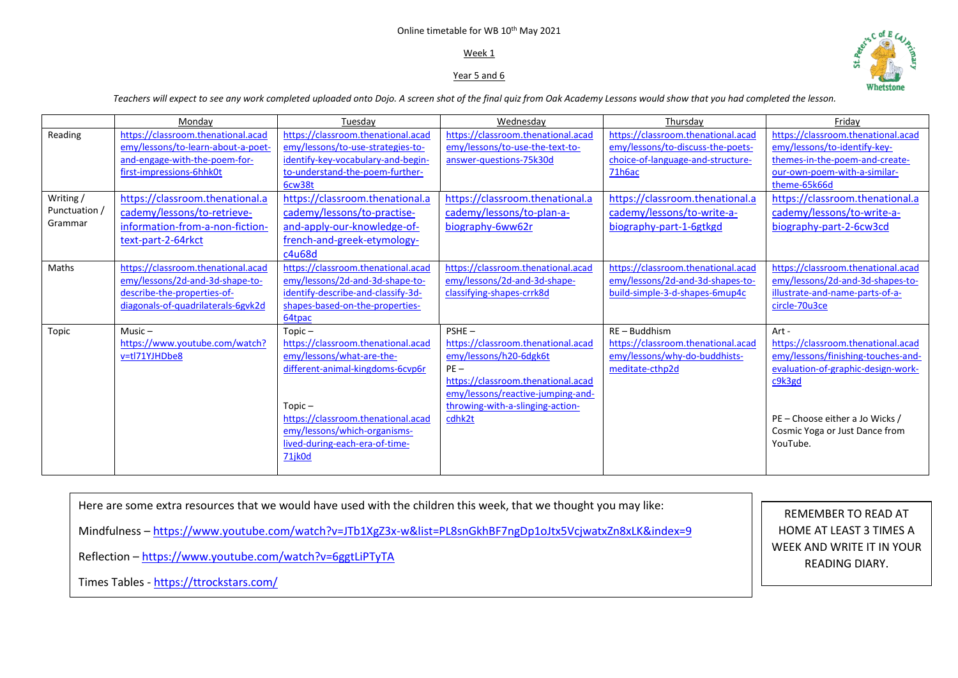# Online timetable for WB 10th May 2021

# Week 1

# Year 5 and 6



*Teachers will expect to see any work completed uploaded onto Dojo. A screen shot of the final quiz from Oak Academy Lessons would show that you had completed the lesson.* 

|               | Mondav                                                                   | Tuesday                                                                 | Wednesday                                                             | Thursday                                                                | Fridav                                                             |
|---------------|--------------------------------------------------------------------------|-------------------------------------------------------------------------|-----------------------------------------------------------------------|-------------------------------------------------------------------------|--------------------------------------------------------------------|
| Reading       | https://classroom.thenational.acad<br>emy/lessons/to-learn-about-a-poet- | https://classroom.thenational.acad<br>emy/lessons/to-use-strategies-to- | https://classroom.thenational.acad<br>emy/lessons/to-use-the-text-to- | https://classroom.thenational.acad<br>emy/lessons/to-discuss-the-poets- | https://classroom.thenational.acad<br>emy/lessons/to-identify-key- |
|               | and-engage-with-the-poem-for-                                            | identify-key-vocabulary-and-begin-                                      | answer-questions-75k30d                                               | choice-of-language-and-structure-                                       | themes-in-the-poem-and-create-                                     |
|               | first-impressions-6hhk0t                                                 | to-understand-the-poem-further-<br>6cw38t                               |                                                                       | 71h6ac                                                                  | our-own-poem-with-a-similar-<br>theme-65k66d                       |
| Writing /     | https://classroom.thenational.a                                          | https://classroom.thenational.a                                         | https://classroom.thenational.a                                       | https://classroom.thenational.a                                         | https://classroom.thenational.a                                    |
| Punctuation / | cademy/lessons/to-retrieve-                                              | cademy/lessons/to-practise-                                             | cademy/lessons/to-plan-a-                                             | cademy/lessons/to-write-a-                                              | cademy/lessons/to-write-a-                                         |
| Grammar       | information-from-a-non-fiction-                                          | and-apply-our-knowledge-of-                                             | biography-6ww62r                                                      | biography-part-1-6gtkgd                                                 | biography-part-2-6cw3cd                                            |
|               | text-part-2-64rkct                                                       | french-and-greek-etymology-                                             |                                                                       |                                                                         |                                                                    |
|               |                                                                          | c4u68d                                                                  |                                                                       |                                                                         |                                                                    |
| Maths         | https://classroom.thenational.acad                                       | https://classroom.thenational.acad                                      | https://classroom.thenational.acad                                    | https://classroom.thenational.acad                                      | https://classroom.thenational.acad                                 |
|               | emy/lessons/2d-and-3d-shape-to-                                          | emy/lessons/2d-and-3d-shape-to-                                         | emy/lessons/2d-and-3d-shape-                                          | emy/lessons/2d-and-3d-shapes-to-                                        | emy/lessons/2d-and-3d-shapes-to-                                   |
|               | describe-the-properties-of-                                              | identify-describe-and-classify-3d-                                      | classifying-shapes-crrk8d                                             | build-simple-3-d-shapes-6mup4c                                          | illustrate-and-name-parts-of-a-                                    |
|               | diagonals-of-quadrilaterals-6gvk2d                                       | shapes-based-on-the-properties-                                         |                                                                       |                                                                         | circle-70u3ce                                                      |
|               | $Music -$                                                                | 64tpac                                                                  | $PSHE -$                                                              | $RE - Buddhism$                                                         |                                                                    |
| Topic         | https://www.youtube.com/watch?                                           | $Topic -$<br>https://classroom.thenational.acad                         | https://classroom.thenational.acad                                    | https://classroom.thenational.acad                                      | Art -<br>https://classroom.thenational.acad                        |
|               | v=tl71YJHDbe8                                                            | emy/lessons/what-are-the-                                               | emy/lessons/h20-6dgk6t                                                | emy/lessons/why-do-buddhists-                                           | emy/lessons/finishing-touches-and-                                 |
|               |                                                                          | different-animal-kingdoms-6cvp6r                                        | $PE -$                                                                | meditate-cthp2d                                                         | evaluation-of-graphic-design-work-                                 |
|               |                                                                          |                                                                         | https://classroom.thenational.acad                                    |                                                                         | c9k3gd                                                             |
|               |                                                                          |                                                                         | emy/lessons/reactive-jumping-and-                                     |                                                                         |                                                                    |
|               |                                                                          | $Topic -$                                                               | throwing-with-a-slinging-action-                                      |                                                                         |                                                                    |
|               |                                                                          | https://classroom.thenational.acad                                      | cdhk2t                                                                |                                                                         | PE - Choose either a Jo Wicks /                                    |
|               |                                                                          | emy/lessons/which-organisms-                                            |                                                                       |                                                                         | Cosmic Yoga or Just Dance from                                     |
|               |                                                                          | lived-during-each-era-of-time-                                          |                                                                       |                                                                         | YouTube.                                                           |
|               |                                                                          | 71jk0d                                                                  |                                                                       |                                                                         |                                                                    |
|               |                                                                          |                                                                         |                                                                       |                                                                         |                                                                    |

Here are some extra resources that we would have used with the children this week, that we thought you may like: Mindfulness – <https://www.youtube.com/watch?v=JTb1XgZ3x-w&list=PL8snGkhBF7ngDp1oJtx5VcjwatxZn8xLK&index=9> Reflection – <https://www.youtube.com/watch?v=6ggtLiPTyTA> Times Tables - <https://ttrockstars.com/>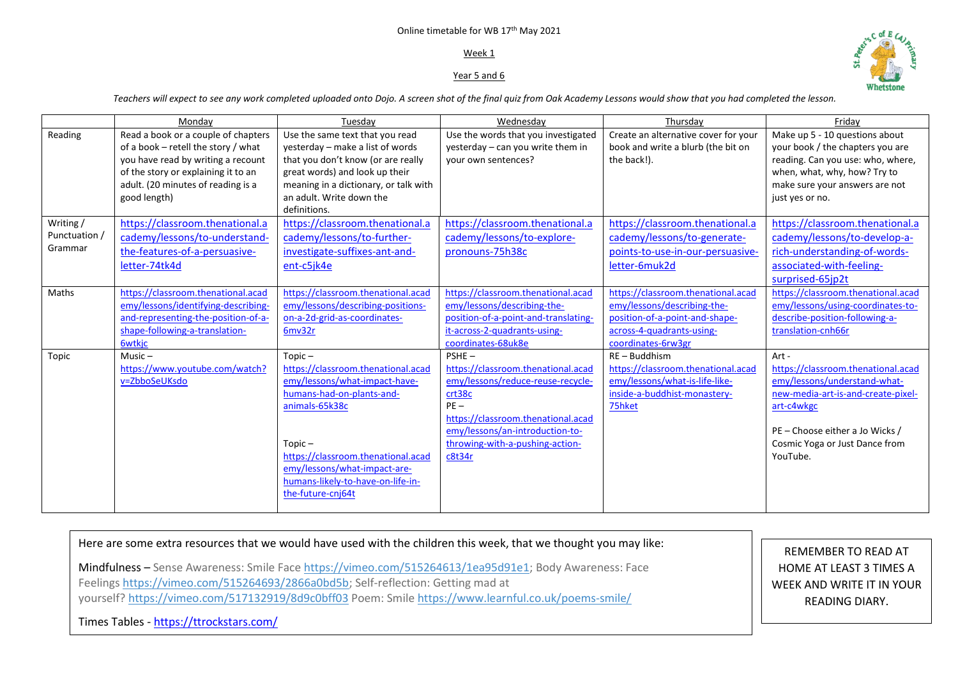# Online timetable for WB 17th May 2021

### Week 1

## Year 5 and 6



*Teachers will expect to see any work completed uploaded onto Dojo. A screen shot of the final quiz from Oak Academy Lessons would show that you had completed the lesson.* 

|                                      | Mondav                                                                                                                                                                                                        | Tuesdav                                                                                                                                                                                                                                                                      | Wednesday                                                                                                                                                                                                                     | Thursday                                                                                                                                               | Fridav                                                                                                                                                                                                           |
|--------------------------------------|---------------------------------------------------------------------------------------------------------------------------------------------------------------------------------------------------------------|------------------------------------------------------------------------------------------------------------------------------------------------------------------------------------------------------------------------------------------------------------------------------|-------------------------------------------------------------------------------------------------------------------------------------------------------------------------------------------------------------------------------|--------------------------------------------------------------------------------------------------------------------------------------------------------|------------------------------------------------------------------------------------------------------------------------------------------------------------------------------------------------------------------|
| Reading                              | Read a book or a couple of chapters<br>of a book - retell the story / what<br>you have read by writing a recount<br>of the story or explaining it to an<br>adult. (20 minutes of reading is a<br>good length) | Use the same text that you read<br>yesterday - make a list of words<br>that you don't know (or are really<br>great words) and look up their<br>meaning in a dictionary, or talk with<br>an adult. Write down the<br>definitions.                                             | Use the words that you investigated<br>yesterday - can you write them in<br>your own sentences?                                                                                                                               | Create an alternative cover for your<br>book and write a blurb (the bit on<br>the back!).                                                              | Make up 5 - 10 questions about<br>your book / the chapters you are<br>reading. Can you use: who, where,<br>when, what, why, how? Try to<br>make sure your answers are not<br>just yes or no.                     |
| Writing/<br>Punctuation /<br>Grammar | https://classroom.thenational.a<br>cademy/lessons/to-understand-<br>the-features-of-a-persuasive-<br>letter-74tk4d                                                                                            | https://classroom.thenational.a<br>cademy/lessons/to-further-<br>investigate-suffixes-ant-and-<br>ent-c5jk4e                                                                                                                                                                 | https://classroom.thenational.a<br>cademy/lessons/to-explore-<br>pronouns-75h38c                                                                                                                                              | https://classroom.thenational.a<br>cademy/lessons/to-generate-<br>points-to-use-in-our-persuasive-<br>letter-6muk2d                                    | https://classroom.thenational.a<br>cademy/lessons/to-develop-a-<br>rich-understanding-of-words-<br>associated-with-feeling-<br>surprised-65jp2t                                                                  |
| Maths                                | https://classroom.thenational.acad<br>emy/lessons/identifying-describing-<br>and-representing-the-position-of-a-<br>shape-following-a-translation-<br><b>6wtkic</b>                                           | https://classroom.thenational.acad<br>emy/lessons/describing-positions-<br>on-a-2d-grid-as-coordinates-<br>6mv32r                                                                                                                                                            | https://classroom.thenational.acad<br>emy/lessons/describing-the-<br>position-of-a-point-and-translating-<br>it-across-2-quadrants-using-<br>coordinates-68uk8e                                                               | https://classroom.thenational.acad<br>emy/lessons/describing-the-<br>position-of-a-point-and-shape-<br>across-4-quadrants-using-<br>coordinates-6rw3gr | https://classroom.thenational.acad<br>emy/lessons/using-coordinates-to-<br>describe-position-following-a-<br>translation-cnh66r                                                                                  |
| Topic                                | $Music -$<br>https://www.youtube.com/watch?<br>v=ZbboSeUKsdo                                                                                                                                                  | $Topic -$<br>https://classroom.thenational.acad<br>emy/lessons/what-impact-have-<br>humans-had-on-plants-and-<br>animals-65k38c<br>$Topic -$<br>https://classroom.thenational.acad<br>emy/lessons/what-impact-are-<br>humans-likely-to-have-on-life-in-<br>the-future-cnj64t | $PSHE -$<br>https://classroom.thenational.acad<br>emy/lessons/reduce-reuse-recycle-<br>crt38c<br>$PE -$<br>https://classroom.thenational.acad<br>emy/lessons/an-introduction-to-<br>throwing-with-a-pushing-action-<br>c8t34r | $RE - Buddhism$<br>https://classroom.thenational.acad<br>emy/lessons/what-is-life-like-<br>inside-a-buddhist-monastery-<br>75hket                      | Art -<br>https://classroom.thenational.acad<br>emy/lessons/understand-what-<br>new-media-art-is-and-create-pixel-<br>art-c4wkgc<br>PE - Choose either a Jo Wicks /<br>Cosmic Yoga or Just Dance from<br>YouTube. |

Here are some extra resources that we would have used with the children this week, that we thought you may like:

Mindfulness – Sense Awareness: Smile Face [https://vimeo.com/515264613/1ea95d91e1;](https://vimeo.com/515264613/1ea95d91e1) Body Awareness: Face Feelings [https://vimeo.com/515264693/2866a0bd5b;](https://vimeo.com/515264693/2866a0bd5b) Self-reflection: Getting mad at yourself? <https://vimeo.com/517132919/8d9c0bff03> Poem: Smile <https://www.learnful.co.uk/poems-smile/>

REMEMBER TO READ AT HOME AT LEAST 3 TIMES A WEEK AND WRITE IT IN YOUR READING DIARY.

Times Tables - <https://ttrockstars.com/>